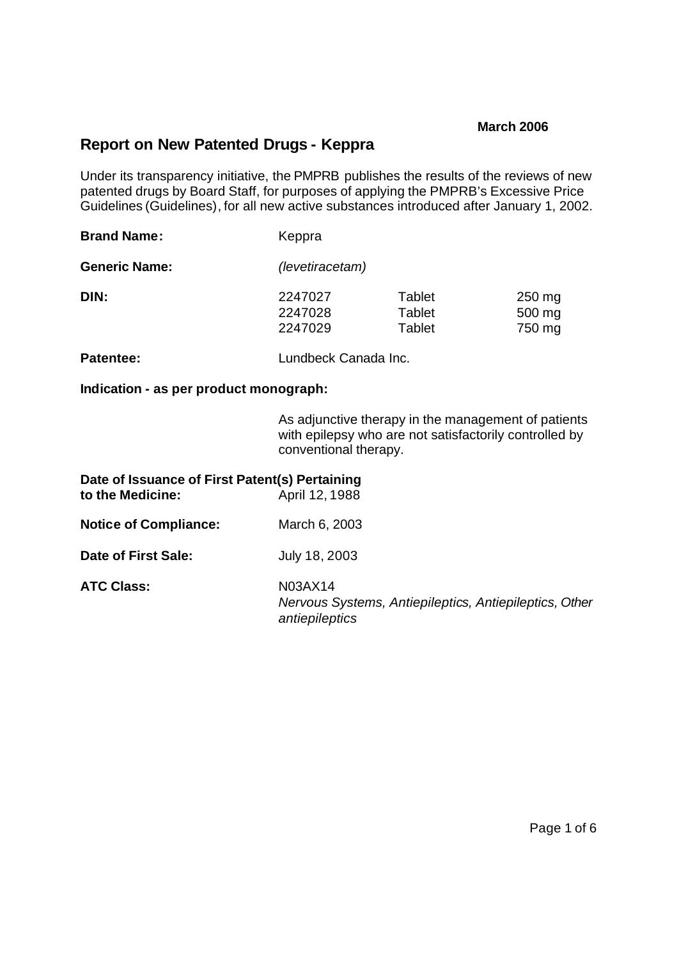### **March 2006**

# **Report on New Patented Drugs - Keppra**

Under its transparency initiative, the PMPRB publishes the results of the reviews of new patented drugs by Board Staff, for purposes of applying the PMPRB's Excessive Price Guidelines (Guidelines), for all new active substances introduced after January 1, 2002.

| <b>Brand Name:</b>   | Keppra                        |                                                 |                                         |  |  |
|----------------------|-------------------------------|-------------------------------------------------|-----------------------------------------|--|--|
| <b>Generic Name:</b> |                               | (levetiracetam)                                 |                                         |  |  |
| DIN:                 | 2247027<br>2247028<br>2247029 | <b>Tablet</b><br><b>Tablet</b><br><b>Tablet</b> | $250 \,\mathrm{mg}$<br>500 mg<br>750 mg |  |  |
| <b>Patentee:</b>     | Lundbeck Canada Inc.          |                                                 |                                         |  |  |

**Indication - as per product monograph:**

As adjunctive therapy in the management of patients with epilepsy who are not satisfactorily controlled by conventional therapy.

| Date of Issuance of First Patent(s) Pertaining<br>to the Medicine: | April 12, 1988                                                                      |
|--------------------------------------------------------------------|-------------------------------------------------------------------------------------|
| <b>Notice of Compliance:</b>                                       | March 6, 2003                                                                       |
| Date of First Sale:                                                | July 18, 2003                                                                       |
| <b>ATC Class:</b>                                                  | N03AX14<br>Nervous Systems, Antiepileptics, Antiepileptics, Other<br>antiepileptics |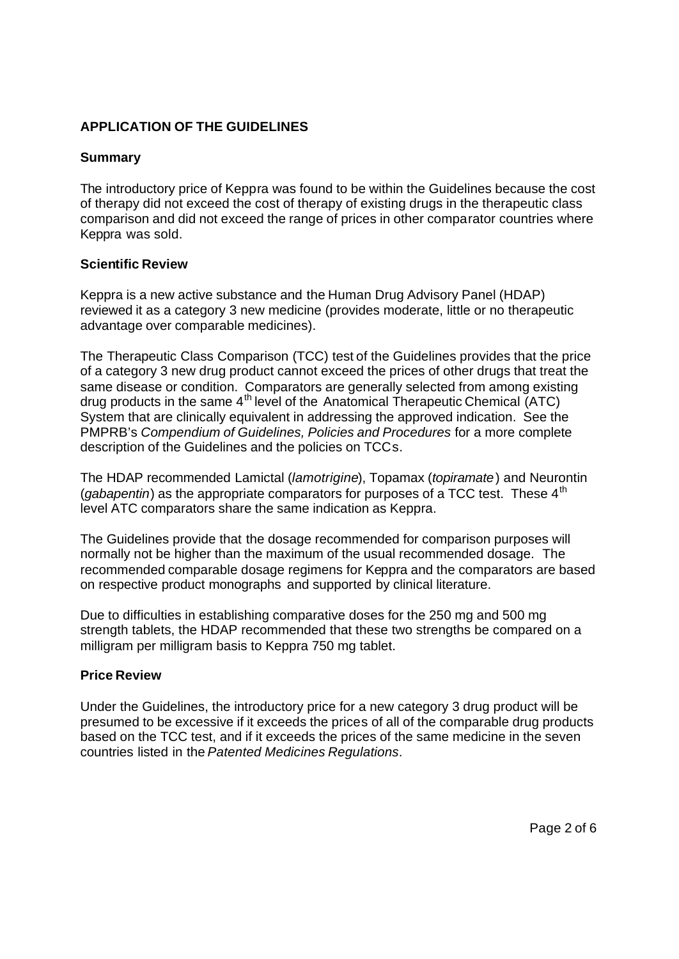## **APPLICATION OF THE GUIDELINES**

## **Summary**

The introductory price of Keppra was found to be within the Guidelines because the cost of therapy did not exceed the cost of therapy of existing drugs in the therapeutic class comparison and did not exceed the range of prices in other comparator countries where Keppra was sold.

### **Scientific Review**

Keppra is a new active substance and the Human Drug Advisory Panel (HDAP) reviewed it as a category 3 new medicine (provides moderate, little or no therapeutic advantage over comparable medicines).

The Therapeutic Class Comparison (TCC) test of the Guidelines provides that the price of a category 3 new drug product cannot exceed the prices of other drugs that treat the same disease or condition. Comparators are generally selected from among existing drug products in the same  $4<sup>th</sup>$  level of the Anatomical Therapeutic Chemical (ATC) System that are clinically equivalent in addressing the approved indication. See the PMPRB's *Compendium of Guidelines, Policies and Procedures* for a more complete description of the Guidelines and the policies on TCCs.

The HDAP recommended Lamictal (*lamotrigine*), Topamax (*topiramate*) and Neurontin (*gabapentin*) as the appropriate comparators for purposes of a TCC test. These 4<sup>th</sup> level ATC comparators share the same indication as Keppra.

The Guidelines provide that the dosage recommended for comparison purposes will normally not be higher than the maximum of the usual recommended dosage. The recommended comparable dosage regimens for Keppra and the comparators are based on respective product monographs and supported by clinical literature.

Due to difficulties in establishing comparative doses for the 250 mg and 500 mg strength tablets, the HDAP recommended that these two strengths be compared on a milligram per milligram basis to Keppra 750 mg tablet.

### **Price Review**

Under the Guidelines, the introductory price for a new category 3 drug product will be presumed to be excessive if it exceeds the prices of all of the comparable drug products based on the TCC test, and if it exceeds the prices of the same medicine in the seven countries listed in the *Patented Medicines Regulations*.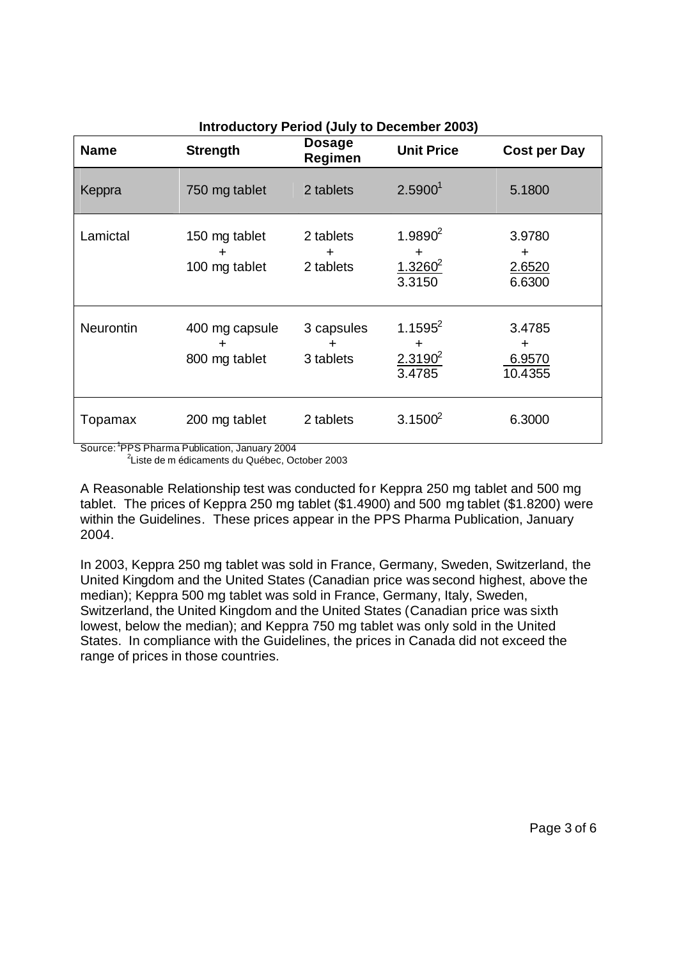| <b>Name</b> | <b>Strength</b>                      | Dosage<br>Regimen            | <b>Unit Price</b>                              | <b>Cost per Day</b>              |
|-------------|--------------------------------------|------------------------------|------------------------------------------------|----------------------------------|
| Keppra      | 750 mg tablet                        | 2 tablets                    | 2.5900 <sup>1</sup>                            | 5.1800                           |
| Lamictal    | 150 mg tablet<br>+<br>100 mg tablet  | 2 tablets<br>÷<br>2 tablets  | $1.9890^{2}$<br>+<br>$1.3260^2$<br>3.3150      | 3.9780<br>+<br>2.6520<br>6.6300  |
| Neurontin   | 400 mg capsule<br>+<br>800 mg tablet | 3 capsules<br>÷<br>3 tablets | $1.1595^{2}$<br>$\div$<br>$2.3190^2$<br>3.4785 | 3.4785<br>÷<br>6.9570<br>10.4355 |
| Topamax     | 200 mg tablet                        | 2 tablets                    | 3.1500 <sup>2</sup>                            | 6.3000                           |

**Introductory Period (July to December 2003)**

Source: <sup>1</sup> PPS Pharma Publication, January 2004

2 Liste de m édicaments du Québec, October 2003

A Reasonable Relationship test was conducted for Keppra 250 mg tablet and 500 mg tablet. The prices of Keppra 250 mg tablet (\$1.4900) and 500 mg tablet (\$1.8200) were within the Guidelines. These prices appear in the PPS Pharma Publication, January 2004.

In 2003, Keppra 250 mg tablet was sold in France, Germany, Sweden, Switzerland, the United Kingdom and the United States (Canadian price was second highest, above the median); Keppra 500 mg tablet was sold in France, Germany, Italy, Sweden, Switzerland, the United Kingdom and the United States (Canadian price was sixth lowest, below the median); and Keppra 750 mg tablet was only sold in the United States. In compliance with the Guidelines, the prices in Canada did not exceed the range of prices in those countries.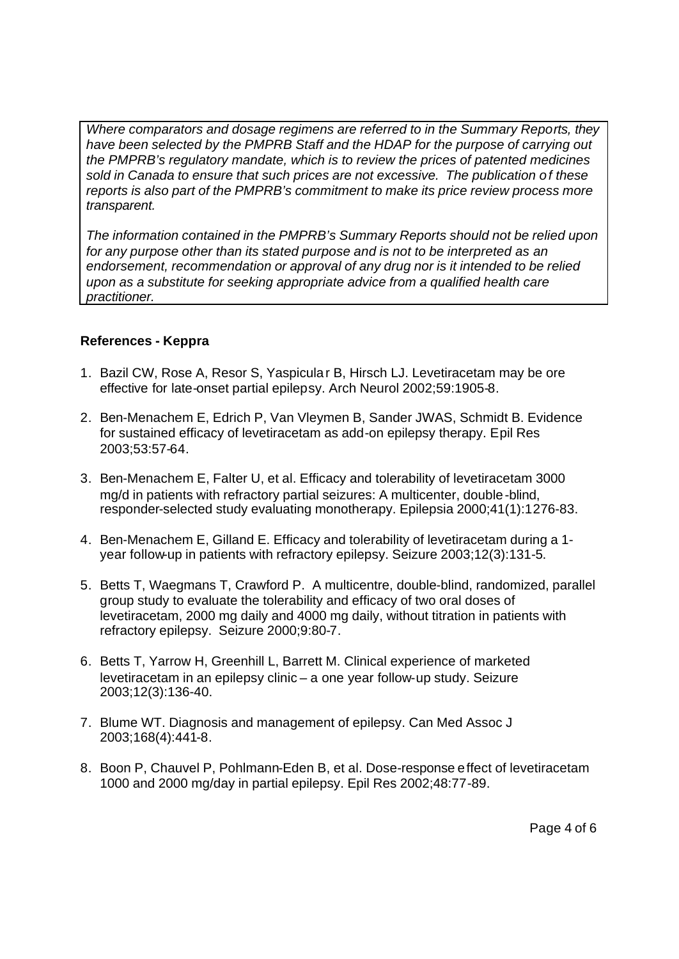*Where comparators and dosage regimens are referred to in the Summary Reports, they have been selected by the PMPRB Staff and the HDAP for the purpose of carrying out the PMPRB's regulatory mandate, which is to review the prices of patented medicines sold in Canada to ensure that such prices are not excessive. The publication of these reports is also part of the PMPRB's commitment to make its price review process more transparent.*

*The information contained in the PMPRB's Summary Reports should not be relied upon for any purpose other than its stated purpose and is not to be interpreted as an endorsement, recommendation or approval of any drug nor is it intended to be relied upon as a substitute for seeking appropriate advice from a qualified health care practitioner.*

## **References - Keppra**

- 1. Bazil CW, Rose A, Resor S, Yaspicular B, Hirsch LJ. Levetiracetam may be ore effective for late-onset partial epilepsy. Arch Neurol 2002;59:1905-8.
- 2. Ben-Menachem E, Edrich P, Van Vleymen B, Sander JWAS, Schmidt B. Evidence for sustained efficacy of levetiracetam as add-on epilepsy therapy. Epil Res 2003;53:57-64.
- 3. Ben-Menachem E, Falter U, et al. Efficacy and tolerability of levetiracetam 3000 mg/d in patients with refractory partial seizures: A multicenter, double-blind, responder-selected study evaluating monotherapy. Epilepsia 2000;41(1):1276-83.
- 4. Ben-Menachem E, Gilland E. Efficacy and tolerability of levetiracetam during a 1 year follow-up in patients with refractory epilepsy. Seizure 2003;12(3):131-5.
- 5. Betts T, Waegmans T, Crawford P. A multicentre, double-blind, randomized, parallel group study to evaluate the tolerability and efficacy of two oral doses of levetiracetam, 2000 mg daily and 4000 mg daily, without titration in patients with refractory epilepsy. Seizure 2000;9:80-7.
- 6. Betts T, Yarrow H, Greenhill L, Barrett M. Clinical experience of marketed levetiracetam in an epilepsy clinic – a one year follow-up study. Seizure 2003;12(3):136-40.
- 7. Blume WT. Diagnosis and management of epilepsy. Can Med Assoc J 2003;168(4):441-8.
- 8. Boon P, Chauvel P, Pohlmann-Eden B, et al. Dose-response effect of levetiracetam 1000 and 2000 mg/day in partial epilepsy. Epil Res 2002;48:77-89.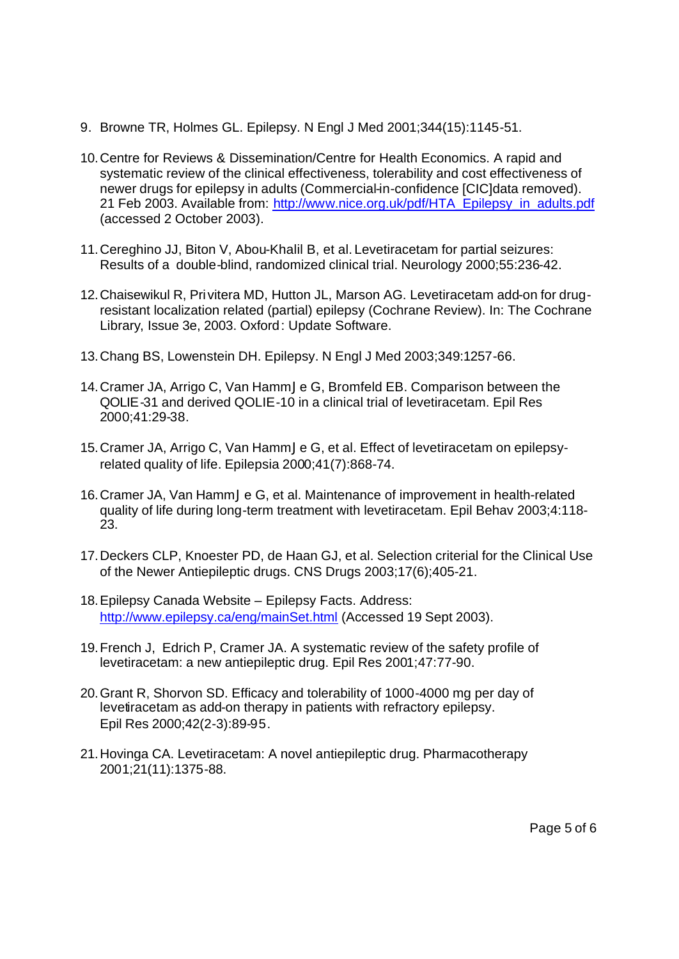- 9. Browne TR, Holmes GL. Epilepsy. N Engl J Med 2001;344(15):1145-51.
- 10.Centre for Reviews & Dissemination/Centre for Health Economics. A rapid and systematic review of the clinical effectiveness, tolerability and cost effectiveness of newer drugs for epilepsy in adults (Commercial-in-confidence [CIC]data removed). 21 Feb 2003. Available from: http://www.nice.org.uk/pdf/HTA\_Epilepsy\_in\_adults.pdf (accessed 2 October 2003).
- 11.Cereghino JJ, Biton V, Abou-Khalil B, et al. Levetiracetam for partial seizures: Results of a double-blind, randomized clinical trial. Neurology 2000;55:236-42.
- 12.Chaisewikul R, Privitera MD, Hutton JL, Marson AG. Levetiracetam add-on for drugresistant localization related (partial) epilepsy (Cochrane Review). In: The Cochrane Library, Issue 3e, 2003. Oxford: Update Software.
- 13.Chang BS, Lowenstein DH. Epilepsy. N Engl J Med 2003;349:1257-66.
- 14.Cramer JA, Arrigo C, Van HammJe G, Bromfeld EB. Comparison between the QOLIE-31 and derived QOLIE-10 in a clinical trial of levetiracetam. Epil Res 2000;41:29-38.
- 15.Cramer JA, Arrigo C, Van HammJe G, et al. Effect of levetiracetam on epilepsyrelated quality of life. Epilepsia 2000;41(7):868-74.
- 16.Cramer JA, Van HammJe G, et al. Maintenance of improvement in health-related quality of life during long-term treatment with levetiracetam. Epil Behav 2003;4:118- 23.
- 17.Deckers CLP, Knoester PD, de Haan GJ, et al. Selection criterial for the Clinical Use of the Newer Antiepileptic drugs. CNS Drugs 2003;17(6);405-21.
- 18.Epilepsy Canada Website Epilepsy Facts. Address: http://www.epilepsy.ca/eng/mainSet.html (Accessed 19 Sept 2003).
- 19.French J, Edrich P, Cramer JA. A systematic review of the safety profile of levetiracetam: a new antiepileptic drug. Epil Res 2001;47:77-90.
- 20.Grant R, Shorvon SD. Efficacy and tolerability of 1000-4000 mg per day of levetiracetam as add-on therapy in patients with refractory epilepsy. Epil Res 2000;42(2-3):89-95.
- 21.Hovinga CA. Levetiracetam: A novel antiepileptic drug. Pharmacotherapy 2001;21(11):1375-88.